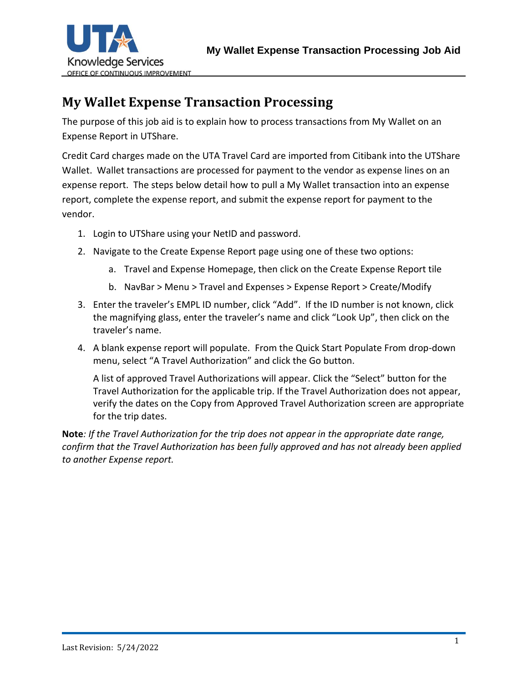

## **My Wallet Expense Transaction Processing**

The purpose of this job aid is to explain how to process transactions from My Wallet on an Expense Report in UTShare.

Credit Card charges made on the UTA Travel Card are imported from Citibank into the UTShare Wallet. Wallet transactions are processed for payment to the vendor as expense lines on an expense report. The steps below detail how to pull a My Wallet transaction into an expense report, complete the expense report, and submit the expense report for payment to the vendor.

- 1. Login to UTShare using your NetID and password.
- 2. Navigate to the Create Expense Report page using one of these two options:
	- a. Travel and Expense Homepage, then click on the Create Expense Report tile
	- b. NavBar > Menu > Travel and Expenses > Expense Report > Create/Modify
- 3. Enter the traveler's EMPL ID number, click "Add". If the ID number is not known, click the magnifying glass, enter the traveler's name and click "Look Up", then click on the traveler's name.
- 4. A blank expense report will populate. From the Quick Start Populate From drop-down menu, select "A Travel Authorization" and click the Go button.

A list of approved Travel Authorizations will appear. Click the "Select" button for the Travel Authorization for the applicable trip. If the Travel Authorization does not appear, verify the dates on the Copy from Approved Travel Authorization screen are appropriate for the trip dates.

**Note***: If the Travel Authorization for the trip does not appear in the appropriate date range, confirm that the Travel Authorization has been fully approved and has not already been applied to another Expense report.*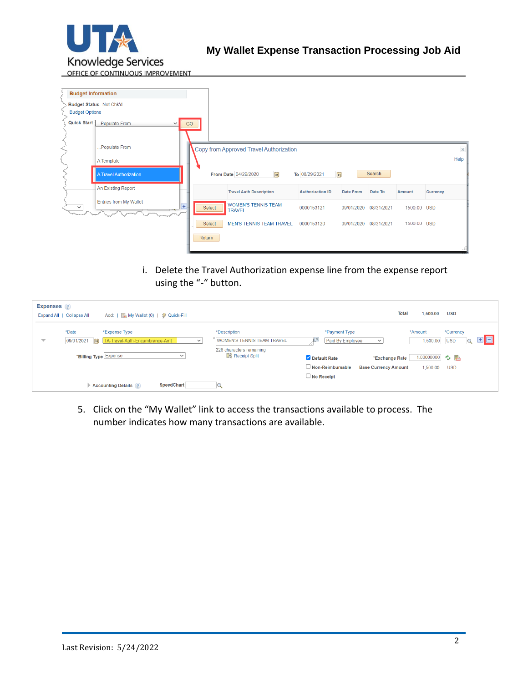

**Budget Information** Budget Status Not Chk'd **Budget Options** Quick Start Music Populate From  $\overline{GO}$ Populate From Copy from Approved Travel Authorization  $\overline{\mathbf{x}}$ Help A Template Search A Travel Authorization From Date 04/29/2020  $\mathbf{B}$ To 08/29/2021 BU An Existing Report **Travel Auth Description Authorization ID** Date From Date To Currency Amount Entries from My Wallet WOMEN'S TENNIS TEAM<br>TRAVEL  $\overline{\mathbf{v}}$  $\overline{+}$ Select 0000153121 09/01/2020 08/31/2021 1500.00 USD Select MEN'S TENNIS TEAM TRAVEL 0000153120 09/01/2020 08/31/2021 1500.00 USD Return

> i. Delete the Travel Authorization expense line from the expense report using the "-" button.

| <b>Expenses</b> ?        | Add:   Add:   Ally Wallet (0)   2 Quick-Fill<br>Expand All   Collapse All                   |                                                     | <b>Total</b><br>1,500.00<br><b>USD</b>                                                                           |
|--------------------------|---------------------------------------------------------------------------------------------|-----------------------------------------------------|------------------------------------------------------------------------------------------------------------------|
| $\overline{\phantom{a}}$ | *Date<br>*Expense Type<br>TA-Travel-Auth-Encumbrance-Amt<br>09/01/2021   31<br>$\checkmark$ | *Description<br><b>WOMEN'S TENNIS TEAM TRAVEL</b>   | *Currency<br>*Payment Type<br>*Amount<br>8 E<br>ĻЯ<br>1,500.00<br>Paid By Employee<br><b>USD</b><br>$\checkmark$ |
|                          | *Billing Type Expense<br>$\checkmark$                                                       | 228 characters remaining<br><b>He Receipt Split</b> | 1.00000000 ウ 晶<br>Default Rate<br>*Exchange Rate                                                                 |
|                          | SpeedChart<br><b>Accounting Details ?</b>                                                   |                                                     | $\Box$ Non-Reimbursable<br><b>Base Currency Amount</b><br>1.500.00<br><b>USD</b><br>$\Box$ No Receipt            |

5. Click on the "My Wallet" link to access the transactions available to process. The number indicates how many transactions are available.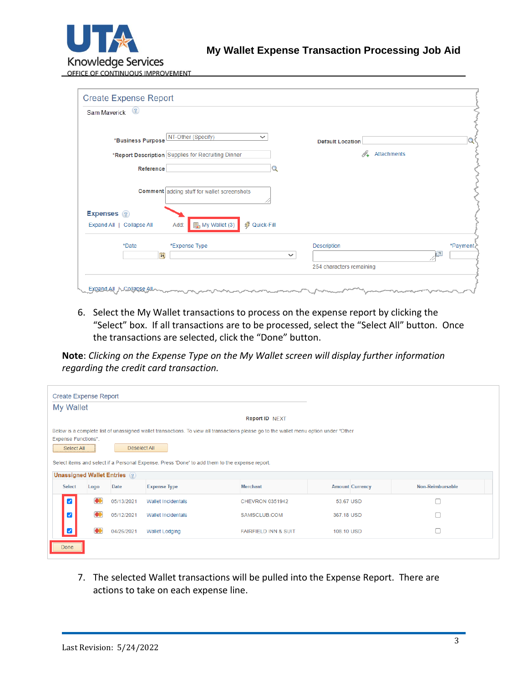

| $\left( 2\right)$<br>Sam Maverick                                                  |              |                          |                         |
|------------------------------------------------------------------------------------|--------------|--------------------------|-------------------------|
| NT-Other (Specify)<br>$\checkmark$<br>*Business Purpose                            |              | <b>Default Location</b>  |                         |
| *Report Description Supplies for Recruiting Dinner                                 |              | 4. Attachments           |                         |
| Reference                                                                          |              |                          |                         |
| <b>Comment</b> adding stuff for wallet screenshots                                 |              |                          |                         |
| <b>Expenses</b> ?                                                                  |              |                          |                         |
| <b>经 Quick-Fill</b><br><b>晶</b> My Wallet (3)<br>Expand All   Collapse All<br>Add: |              |                          |                         |
| *Date<br>*Expense Type                                                             |              | Description              | *Payment                |
| Bt                                                                                 | $\checkmark$ |                          | $\overline{\mathbf{z}}$ |
|                                                                                    |              | 254 characters remaining |                         |

6. Select the My Wallet transactions to process on the expense report by clicking the "Select" box. If all transactions are to be processed, select the "Select All" button. Once the transactions are selected, click the "Done" button.

**Note**: *Clicking on the Expense Type on the My Wallet screen will display further information regarding the credit card transaction.*

| <b>Create Expense Report</b>                                                                                                                                                                                                                                                                        |      |             |                           |                                 |            |                        |                  |  |  |  |
|-----------------------------------------------------------------------------------------------------------------------------------------------------------------------------------------------------------------------------------------------------------------------------------------------------|------|-------------|---------------------------|---------------------------------|------------|------------------------|------------------|--|--|--|
| My Wallet                                                                                                                                                                                                                                                                                           |      |             |                           |                                 |            |                        |                  |  |  |  |
| Report ID NEXT                                                                                                                                                                                                                                                                                      |      |             |                           |                                 |            |                        |                  |  |  |  |
| Below is a complete list of unassigned wallet transactions. To view all transactions please go to the wallet menu option under "Other<br><b>Expense Functions".</b><br>Deselect All<br>Select All<br>Select items and select if a Personal Expense. Press 'Done' to add them to the expense report. |      |             |                           |                                 |            |                        |                  |  |  |  |
| Unassigned Wallet Entries ?<br><b>Select</b>                                                                                                                                                                                                                                                        | Logo | <b>Date</b> | <b>Expense Type</b>       | <b>Merchant</b>                 |            | <b>Amount Currency</b> | Non-Reimbursable |  |  |  |
| $\blacktriangleright$                                                                                                                                                                                                                                                                               | œ    | 05/13/2021  | <b>Wallet Incidentals</b> | <b>CHEVRON 0351942</b>          | 53.67 USD  |                        | г                |  |  |  |
| $\blacktriangleright$                                                                                                                                                                                                                                                                               | 60   | 05/12/2021  | <b>Wallet Incidentals</b> | SAMSCLUB.COM                    | 367.18 USD |                        | г                |  |  |  |
|                                                                                                                                                                                                                                                                                                     | 60   | 04/26/2021  | <b>Wallet Lodging</b>     | <b>FAIRFIELD INN &amp; SUIT</b> | 108.10 USD |                        |                  |  |  |  |
| Done                                                                                                                                                                                                                                                                                                |      |             |                           |                                 |            |                        |                  |  |  |  |

7. The selected Wallet transactions will be pulled into the Expense Report. There are actions to take on each expense line.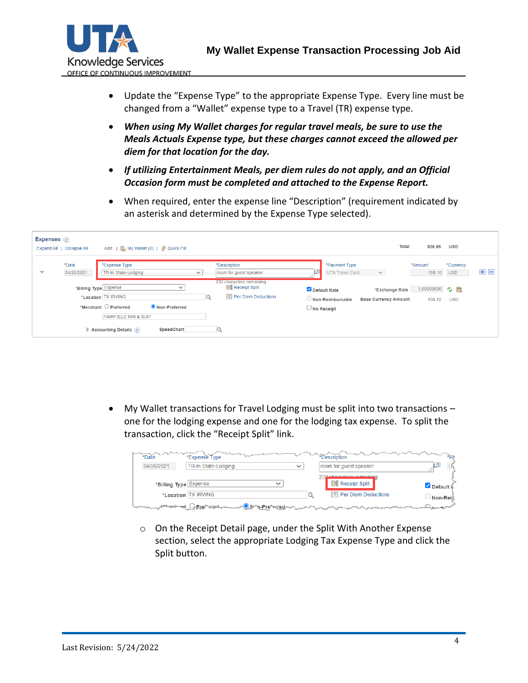

- Update the "Expense Type" to the appropriate Expense Type. Every line must be changed from a "Wallet" expense type to a Travel (TR) expense type.
- *When using My Wallet charges for regular travel meals, be sure to use the Meals Actuals Expense type, but these charges cannot exceed the allowed per diem for that location for the day.*
- *If utilizing Entertainment Meals, per diem rules do not apply, and an Official Occasion form must be completed and attached to the Expense Report.*
- When required, enter the expense line "Description" (requirement indicated by an asterisk and determined by the Expense Type selected).

| <b>Expenses</b> ?        | Expand All   Collapse All | Add: $\parallel$           My Wallet (0)   $\frac{4}{9}$ Quick-Fill                                                               |                                                                                     | Total<br>528.95<br><b>USD</b>                                                                                               |
|--------------------------|---------------------------|-----------------------------------------------------------------------------------------------------------------------------------|-------------------------------------------------------------------------------------|-----------------------------------------------------------------------------------------------------------------------------|
| $\overline{\phantom{a}}$ | *Date<br>04/26/2021       | *Expense Type<br>TR-In State-Lodging<br>$\checkmark$                                                                              | *Description<br>room for guest speaker                                              | *Payment Type<br>*Amount<br>*Currency<br>$+$ $-$<br><b>USD</b><br>108.10<br>UTA Travel Card<br>$\checkmark$<br>м            |
|                          |                           | *Billing Type Expense<br>$\check{ }$<br>*Location TX IRVING                                                                       | 232 characters remaining<br><b>He Receipt Split</b><br>$\equiv$ Per Diem Deductions | 1.00000000 ウ 晶<br>Default Rate<br>*Exchange Rate<br><b>Base Currency Amount</b><br>Non-Reimbursable<br>108.10<br><b>USD</b> |
|                          |                           | *Merchant $\bigcirc$ Preferred<br>O Non-Preferred<br><b>FAIRFIELD INN &amp; SUIT</b><br>SpeedChart<br><b>Accounting Details</b> ? |                                                                                     | $\Box$ No Receipt                                                                                                           |

• My Wallet transactions for Travel Lodging must be split into two transactions – one for the lodging expense and one for the lodging tax expense. To split the transaction, click the "Receipt Split" link.

| *Date                 | *Expense Type       |                                         | *Description                                         | $*_{D*}$         |
|-----------------------|---------------------|-----------------------------------------|------------------------------------------------------|------------------|
| 04/26/2021            | TR-In State-Lodging | $\check{ }$                             | room for guest speaker                               |                  |
| *Billing Type Expense |                     | $\checkmark$                            | 232 shoresters remaining<br><b>Big Receipt Split</b> | Default <b>R</b> |
|                       | *Location TX IRVING |                                         | $\mathbb{E}$ Per Diem Deductions                     | Non-Rein         |
| המהמי                 | <b>Prentice</b>     | <b>OWN-n-Preferred-whole-whomsomer-</b> |                                                      | ومسروع إدماء     |

o On the Receipt Detail page, under the Split With Another Expense section, select the appropriate Lodging Tax Expense Type and click the Split button.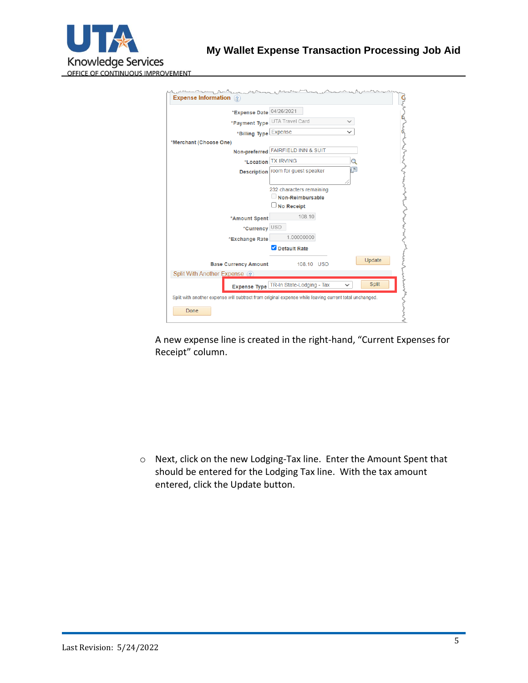

| *Expense Date 04/26/2021                                                                              |                                                                   |                         |
|-------------------------------------------------------------------------------------------------------|-------------------------------------------------------------------|-------------------------|
|                                                                                                       | *Payment Type UTA Travel Card                                     |                         |
| *Billing Type Expense                                                                                 |                                                                   |                         |
| *Merchant (Choose One)                                                                                |                                                                   |                         |
|                                                                                                       | Non-preferred FAIRFIELD INN & SUIT                                |                         |
|                                                                                                       | *Location TX IRVING                                               | Q                       |
|                                                                                                       | Description room for guest speaker                                | $\overline{\mathbb{Z}}$ |
|                                                                                                       | 232 characters remaining<br>Non-Reimbursable<br><b>No Receipt</b> |                         |
| *Amount Spent                                                                                         | 108.10                                                            |                         |
| *Currency USD                                                                                         |                                                                   |                         |
| *Exchange Rate                                                                                        | 1.00000000                                                        |                         |
|                                                                                                       | Default Rate                                                      |                         |
| <b>Base Currency Amount</b>                                                                           | 108.10 USD                                                        | Update                  |
| Split With Another Expense                                                                            |                                                                   |                         |
|                                                                                                       | Expense Type TR-In State-Lodging - Tax                            | <b>Split</b>            |
| Split with another expense will subtract from original expense while leaving current total unchanged. |                                                                   |                         |

A new expense line is created in the right-hand, "Current Expenses for Receipt" column.

o Next, click on the new Lodging-Tax line. Enter the Amount Spent that should be entered for the Lodging Tax line. With the tax amount entered, click the Update button.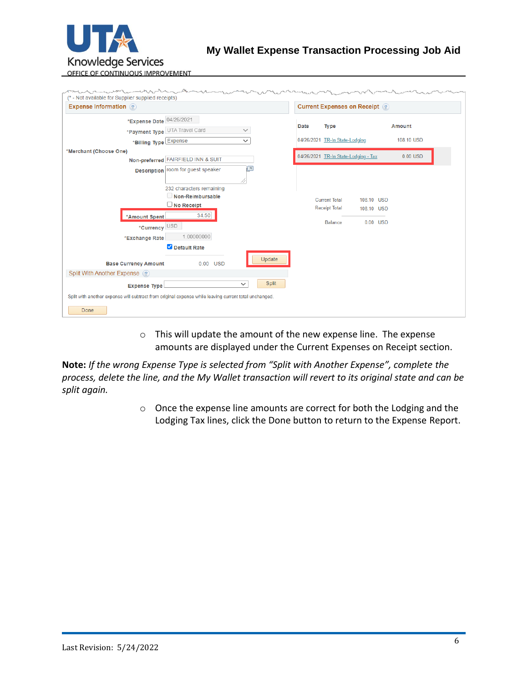

| <b>Expense Information</b> ? |                             |                                                                                                       |                       |      | <b>Current Expenses on Receipt (?)</b> |            |            |            |
|------------------------------|-----------------------------|-------------------------------------------------------------------------------------------------------|-----------------------|------|----------------------------------------|------------|------------|------------|
|                              | *Expense Date 04/26/2021    |                                                                                                       |                       |      |                                        |            |            |            |
|                              | *Payment Type               | UTA Travel Card                                                                                       | $\checkmark$          | Date | <b>Type</b>                            |            |            | Amount     |
|                              | *Billing Type Expense       |                                                                                                       | $\checkmark$          |      | 04/26/2021 TR-In State-Lodging         |            |            | 108.10 USD |
| *Merchant (Choose One)       |                             |                                                                                                       |                       |      |                                        |            |            | $0.00$ USD |
|                              |                             | Non-preferred FAIRFIELD INN & SUIT                                                                    |                       |      | 04/26/2021 TR-In State-Lodging - Tax   |            |            |            |
|                              |                             | Description   room for guest speaker                                                                  | łя                    |      |                                        |            |            |            |
|                              |                             |                                                                                                       |                       |      |                                        |            |            |            |
|                              |                             | 232 characters remaining                                                                              |                       |      |                                        |            |            |            |
|                              |                             | Non-Reimbursable                                                                                      |                       |      | <b>Current Total</b>                   | 108.10 USD |            |            |
|                              |                             | $\Box$ No Receipt<br>34.50                                                                            |                       |      | <b>Receipt Total</b>                   | 108.10 USD |            |            |
|                              | *Amount Spent               |                                                                                                       |                       |      | Balance                                |            | $0.00$ USD |            |
|                              | *Currency USD               |                                                                                                       |                       |      |                                        |            |            |            |
|                              | *Exchange Rate              | 1.00000000                                                                                            |                       |      |                                        |            |            |            |
|                              |                             | Default Rate                                                                                          |                       |      |                                        |            |            |            |
|                              | <b>Base Currency Amount</b> | $0.00$ USD                                                                                            | Update                |      |                                        |            |            |            |
| Split With Another Expense ? |                             |                                                                                                       |                       |      |                                        |            |            |            |
|                              | <b>Expense Type</b>         |                                                                                                       | Split<br>$\checkmark$ |      |                                        |            |            |            |
|                              |                             | Split with another expense will subtract from original expense while leaving current total unchanged. |                       |      |                                        |            |            |            |

o This will update the amount of the new expense line. The expense amounts are displayed under the Current Expenses on Receipt section.

**Note:** *If the wrong Expense Type is selected from "Split with Another Expense", complete the process, delete the line, and the My Wallet transaction will revert to its original state and can be split again.*

> o Once the expense line amounts are correct for both the Lodging and the Lodging Tax lines, click the Done button to return to the Expense Report.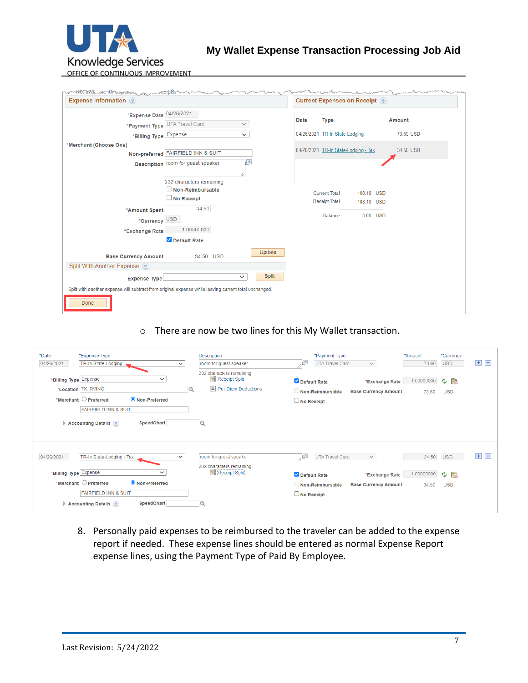

OFFICE OF CONTINUOUS IMPROVEMENT

| <b>Expense Information</b> (?)                                                                        |                                    |              |        |      | <b>Current Expenses on Receipt</b> ? |            |            |               |
|-------------------------------------------------------------------------------------------------------|------------------------------------|--------------|--------|------|--------------------------------------|------------|------------|---------------|
| *Expense Date 04/26/2021                                                                              |                                    |              |        |      |                                      |            |            |               |
| *Payment Type UTA Travel Card                                                                         |                                    | $\checkmark$ |        | Date | <b>Type</b>                          |            |            | <b>Amount</b> |
| *Billing Type Expense                                                                                 |                                    | $\checkmark$ |        |      | 04/26/2021 TR-In State-Lodging       |            |            | 73.60 USD     |
| *Merchant (Choose One)                                                                                |                                    |              |        |      |                                      |            |            |               |
|                                                                                                       | Non-preferred FAIRFIELD INN & SUIT |              |        |      | 04/26/2021 TR-In State-Lodging - Tax |            |            | 34.50 USD     |
|                                                                                                       | Description room for guest speaker | ⊡            |        |      |                                      |            |            |               |
|                                                                                                       |                                    |              |        |      |                                      |            |            |               |
|                                                                                                       | 232 characters remaining           |              |        |      |                                      |            |            |               |
|                                                                                                       | Non-Reimbursable                   |              |        |      | <b>Current Total</b>                 | 108.10 USD |            |               |
|                                                                                                       | $\Box$ No Receipt                  |              |        |      | <b>Receipt Total</b>                 | 108.10 USD |            |               |
| *Amount Spent                                                                                         | 34.50                              |              |        |      | Balance                              |            | $0.00$ USD |               |
| *Currency USD                                                                                         |                                    |              |        |      |                                      |            |            |               |
| *Exchange Rate                                                                                        | 1.00000000                         |              |        |      |                                      |            |            |               |
|                                                                                                       | Default Rate                       |              |        |      |                                      |            |            |               |
| <b>Base Currency Amount</b>                                                                           | 34.50 USD                          |              | Update |      |                                      |            |            |               |
|                                                                                                       |                                    |              |        |      |                                      |            |            |               |
| Split With Another Expense ?                                                                          |                                    |              |        |      |                                      |            |            |               |
| <b>Expense Type</b>                                                                                   |                                    | $\checkmark$ | Split  |      |                                      |            |            |               |
| Split with another expense will subtract from original expense while leaving current total unchanged. |                                    |              |        |      |                                      |            |            |               |
| Done                                                                                                  |                                    |              |        |      |                                      |            |            |               |

## o There are now be two lines for this My Wallet transaction.

| *Date<br>04/26/2021   | *Expense Type<br>TR-In State-Lodging                                                                                              | $\checkmark$ | Description<br>room for guest speaker                                               |                   | *Payment Type<br>UTA Travel Card | $\checkmark$                                  | *Amount<br>73.60        | *Currency<br><b>USD</b> | $\pm$<br>Ξ      |
|-----------------------|-----------------------------------------------------------------------------------------------------------------------------------|--------------|-------------------------------------------------------------------------------------|-------------------|----------------------------------|-----------------------------------------------|-------------------------|-------------------------|-----------------|
| *Billing Type Expense | $\checkmark$<br>*Location TX IRVING                                                                                               | Q            | 232 characters remaining<br><b>He Receipt Split</b><br>$\equiv$ Per Diem Deductions | Default Rate      | $\Box$ Non-Reimbursable          | *Exchange Rate<br><b>Base Currency Amount</b> | 1.00000000 ウ 晶<br>73.60 | <b>USD</b>              |                 |
|                       | *Merchant $\bigcirc$ Preferred<br>● Non-Preferred<br><b>FAIRFIELD INN &amp; SUIT</b><br>SpeedChart<br><b>Accounting Details</b> ? |              |                                                                                     | $\Box$ No Receipt |                                  |                                               |                         |                         |                 |
|                       |                                                                                                                                   |              |                                                                                     |                   |                                  |                                               |                         |                         |                 |
| 04/26/2021            | TR-In State-Lodging - Tax                                                                                                         | $\checkmark$ | room for guest speaker<br>232 characters remaining                                  | 년                 | UTA Travel Card                  | $\checkmark$                                  | 34.50                   | <b>USD</b>              | $\pm$<br>$\Box$ |

8. Personally paid expenses to be reimbursed to the traveler can be added to the expense report if needed. These expense lines should be entered as normal Expense Report expense lines, using the Payment Type of Paid By Employee.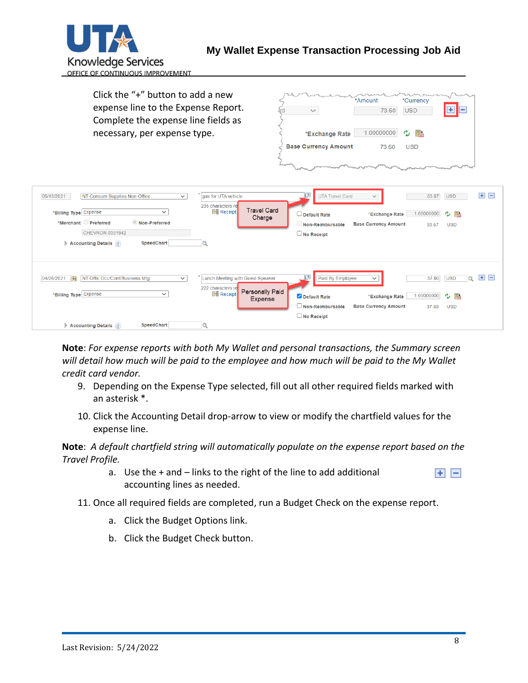

| Click the "+" button to add a new<br>expense line to the Expense Report.<br>Complete the expense line fields as<br>necessary, per expense type.                                                                                                                                   | *Amount<br>*Currency<br>٠<br><b>USD</b><br>73.60<br>$\checkmark$<br>1.00000000<br>B<br>e,<br>*Exchange Rate<br><b>Base Currency Amount</b><br>73.60<br><b>USD</b>                                                                                                            |
|-----------------------------------------------------------------------------------------------------------------------------------------------------------------------------------------------------------------------------------------------------------------------------------|------------------------------------------------------------------------------------------------------------------------------------------------------------------------------------------------------------------------------------------------------------------------------|
| NT-Consum Supplies Non-Office<br>gas for UTA vehicle<br>05/13/2021<br>$\checkmark$<br>235 characters re<br><b>⊪</b> Receipt<br>*Billing Type Expense<br>$\checkmark$<br>*Merchant Preferred<br>Non-Preferred<br>CHEVRON 0351942<br>SpeedChart<br>Accounting Details ?<br>$\alpha$ | $+$ $-$<br>$\sqrt{2}$<br>UTA Travel Card<br>53.67<br><b>USD</b><br>$\checkmark$<br><b>Travel Card</b><br>1.00000000<br>ゆ 語<br>*Exchange Rate<br>$\Box$ Default Rate<br>Charge<br><b>Base Currency Amount</b><br>Non-Reimbursable<br><b>USD</b><br>53.67<br>$\Box$ No Receipt |
| NT-Offic Occ/Conf/Business Mtg<br>Lunch Meeting with Guest Speaker<br>04/26/2021<br>$\overline{31}$<br>$\checkmark$<br>222 characters re<br>*Billing Type Expense<br><b>He Receipt</b><br>$\checkmark$<br><b>SpeedChart</b><br>$\alpha$<br>Accounting Details ?                   | $+$ $-$<br>Paid By Employee<br><b>USD</b><br>37.80<br>$\circ$<br>$\check{ }$<br>Personally Paid<br>1.00000000<br>ىيى<br>鹝<br>Default Rate<br>*Exchange Rate<br>Expense<br>$\Box$ Non-Reimbursable<br><b>Base Currency Amount</b><br><b>USD</b><br>37.80<br>$\Box$ No Receipt |

**Note**: *For expense reports with both My Wallet and personal transactions, the Summary screen will detail how much will be paid to the employee and how much will be paid to the My Wallet credit card vendor.*

- 9. Depending on the Expense Type selected, fill out all other required fields marked with an asterisk \*.
- 10. Click the Accounting Detail drop-arrow to view or modify the chartfield values for the expense line.

**Note**: *A default chartfield string will automatically populate on the expense report based on the Travel Profile.*

- a. Use the + and links to the right of the line to add additional  $+$   $$ accounting lines as needed.
- 11. Once all required fields are completed, run a Budget Check on the expense report.
	- a. Click the Budget Options link.
	- b. Click the Budget Check button.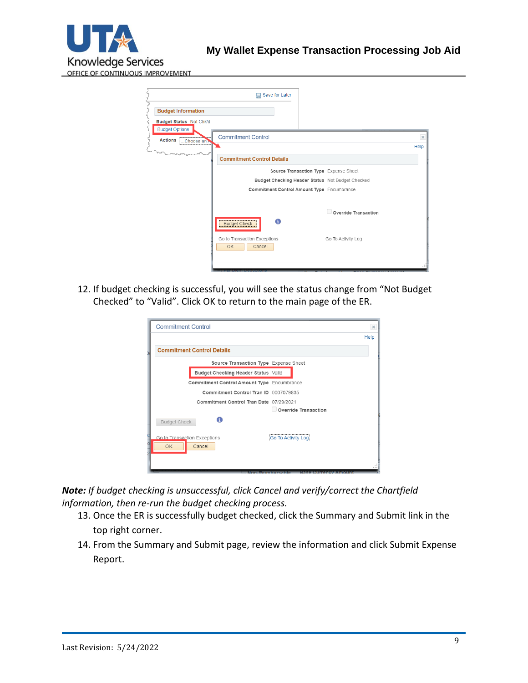

|                                                      | Save for Later<br>딮                                                       |          |
|------------------------------------------------------|---------------------------------------------------------------------------|----------|
| <b>Budget Information</b>                            |                                                                           |          |
| <b>Budget Status Not Chk'd</b>                       |                                                                           |          |
| <b>Budget Options</b><br><b>Actions</b><br>Choose an | <b>Commitment Control</b>                                                 | $\times$ |
|                                                      |                                                                           | Help     |
|                                                      | <b>Commitment Control Details</b>                                         |          |
|                                                      | Source Transaction Type Expense Sheet                                     |          |
|                                                      | Budget Checking Header Status Not Budget Checked                          |          |
|                                                      | Commitment Control Amount Type Encumbrance                                |          |
|                                                      |                                                                           |          |
|                                                      | Override Transaction                                                      |          |
|                                                      | 0<br><b>Budget Check</b>                                                  |          |
|                                                      | Go to Transaction Exceptions<br>Go To Activity Log<br><b>OK</b><br>Cancel |          |
|                                                      |                                                                           |          |

12. If budget checking is successful, you will see the status change from "Not Budget Checked" to "Valid". Click OK to return to the main page of the ER.

| <b>Commitment Control</b>                                          | $\times$ |
|--------------------------------------------------------------------|----------|
|                                                                    | Help     |
| <b>Commitment Control Details</b>                                  |          |
| Source Transaction Type Expense Sheet                              |          |
| Budget Checking Header Status Valid                                |          |
| Commitment Control Amount Type Encumbrance                         |          |
| Commitment Control Tran ID 0007079835                              |          |
| Commitment Control Tran Date 07/29/2021                            |          |
| Override Transaction<br>A<br><b>Budget Check</b>                   |          |
| Go to Transaction Exceptions<br>Go To Activity Log<br>Cancel<br>OK |          |
| Mandalan mana<br><b>Existence of Hangela To Mark Table 1988</b>    |          |

*Note: If budget checking is unsuccessful, click Cancel and verify/correct the Chartfield information, then re-run the budget checking process.*

- 13. Once the ER is successfully budget checked, click the Summary and Submit link in the top right corner.
- 14. From the Summary and Submit page, review the information and click Submit Expense Report.